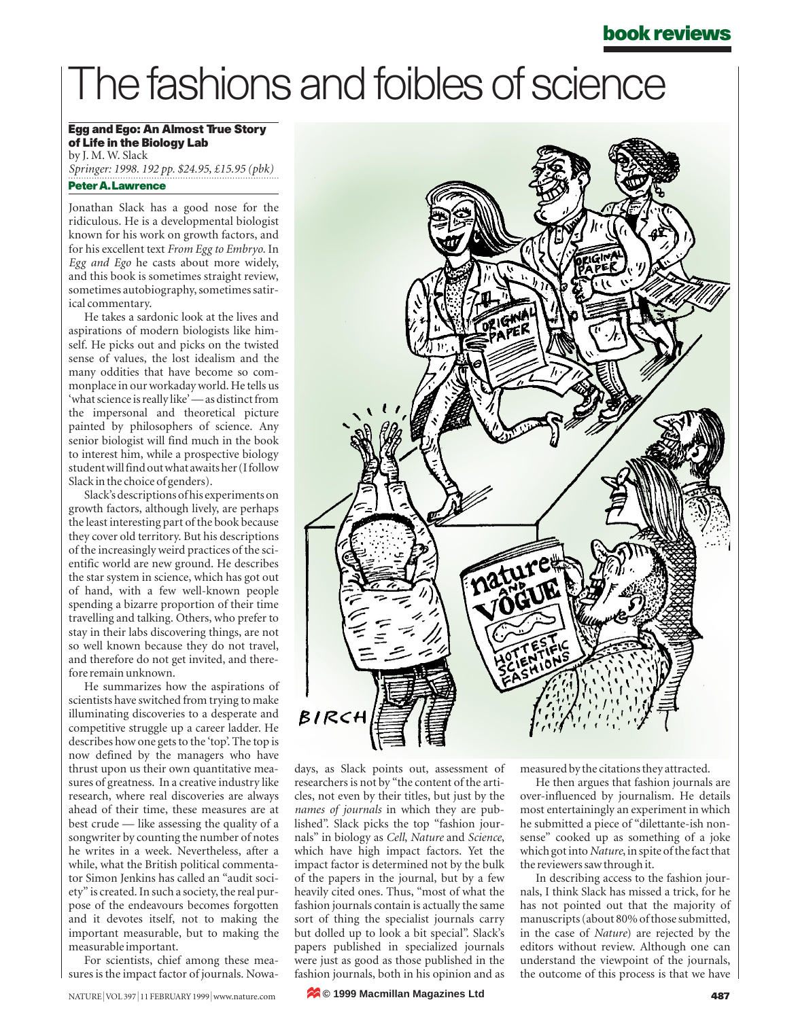### **book reviews**

# The fashions and foibles of science

### **Egg and Ego: An Almost True Story of Life in the Biology Lab** by J. M. W. Slack

*Springer: 1998. 192 pp. \$24.95, £15.95 (pbk)* **Peter A. Lawrence**

Jonathan Slack has a good nose for the ridiculous. He is a developmental biologist known for his work on growth factors, and for his excellent text *From Egg to Embryo*. In *Egg and Ego* he casts about more widely, and this book is sometimes straight review, sometimes autobiography, sometimes satirical commentary.

He takes a sardonic look at the lives and aspirations of modern biologists like himself. He picks out and picks on the twisted sense of values, the lost idealism and the many oddities that have become so commonplace in our workaday world. He tells us 'what science is really like' — as distinct from the impersonal and theoretical picture painted by philosophers of science. Any senior biologist will find much in the book to interest him, while a prospective biology student will find out what awaits her (I follow Slack in the choice of genders).

Slack's descriptions of his experiments on growth factors, although lively, are perhaps the least interesting part of the book because they cover old territory. But his descriptions of the increasingly weird practices of the scientific world are new ground. He describes the star system in science, which has got out of hand, with a few well-known people spending a bizarre proportion of their time travelling and talking. Others, who prefer to stay in their labs discovering things, are not so well known because they do not travel, and therefore do not get invited, and therefore remain unknown.

He summarizes how the aspirations of scientists have switched from trying to make illuminating discoveries to a desperate and competitive struggle up a career ladder. He describes how one gets to the 'top'. The top is now defined by the managers who have thrust upon us their own quantitative measures of greatness. In a creative industry like research, where real discoveries are always ahead of their time, these measures are at best crude — like assessing the quality of a songwriter by counting the number of notes he writes in a week. Nevertheless, after a while, what the British political commentator Simon Jenkins has called an "audit society" is created. In such a society, the real purpose of the endeavours becomes forgotten and it devotes itself, not to making the important measurable, but to making the measurable important.

For scientists, chief among these measures is the impact factor of journals. Nowa-



days, as Slack points out, assessment of researchers is not by "the content of the articles, not even by their titles, but just by the *names of journals* in which they are published". Slack picks the top "fashion journals" in biology as *Cell*, *Nature* and *Science*, which have high impact factors. Yet the impact factor is determined not by the bulk of the papers in the journal, but by a few heavily cited ones. Thus, "most of what the fashion journals contain is actually the same sort of thing the specialist journals carry but dolled up to look a bit special". Slack's papers published in specialized journals were just as good as those published in the fashion journals, both in his opinion and as

measured by the citations they attracted.

He then argues that fashion journals are over-influenced by journalism. He details most entertainingly an experiment in which he submitted a piece of "dilettante-ish nonsense" cooked up as something of a joke which got into *Nature*, in spite of the fact that the reviewers saw through it.

In describing access to the fashion journals, I think Slack has missed a trick, for he has not pointed out that the majority of manuscripts (about 80% of those submitted, in the case of *Nature*) are rejected by the editors without review. Although one can understand the viewpoint of the journals, the outcome of this process is that we have